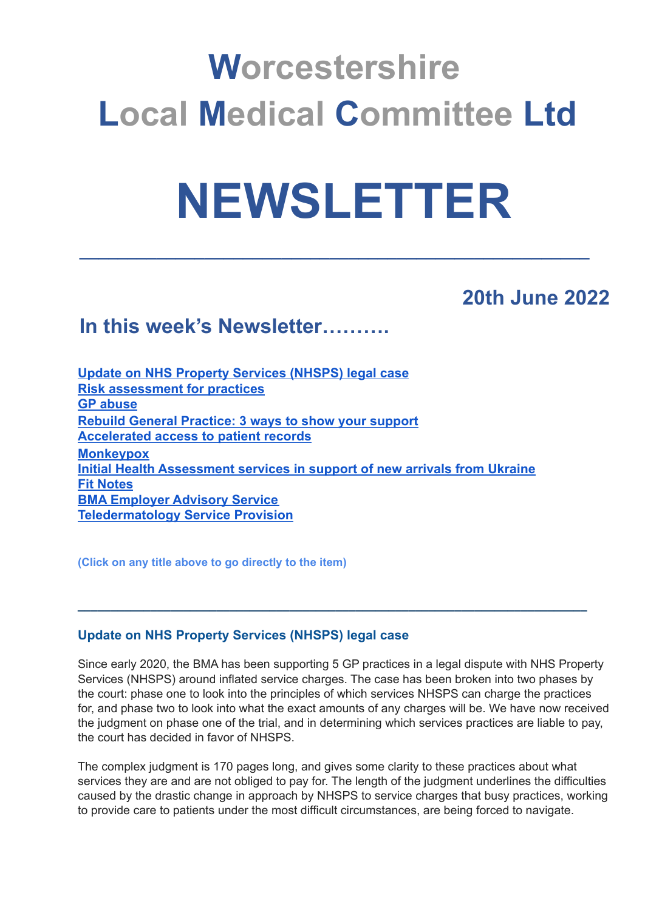## **Worcestershire Local Medical Committee Ltd**

# **NEWSLETTER**

**\_\_\_\_\_\_\_\_\_\_\_\_\_\_\_\_\_\_\_\_\_\_\_\_\_\_\_\_\_\_\_\_\_\_\_\_\_\_\_\_\_\_\_\_\_\_\_\_\_\_\_\_\_**

### **20th June 2022**

## **In this week's Newsletter……….**

**[Update on NHS Property Services \(NHSPS\) legal case](#page-0-0) [Risk assessment for practices](#page-1-0) [GP abuse](#page-1-1) [Rebuild General Practice: 3 ways to show your support](#page-2-0) [Accelerated access to patient records](#page-2-1) [Monkeypox](#page-2-2) [Initial Health Assessment services in support of new arrivals from Ukraine](#page-3-0) [Fit Notes](#page-3-1) [BMA Employer Advisory Service](#page-3-2) [Teledermatology Service Provision](#page-4-0)**

**(Click on any title above to go directly to the item)**

#### <span id="page-0-0"></span>**Update on NHS Property Services (NHSPS) legal case**

Since early 2020, the BMA has been supporting 5 GP practices in a legal dispute with NHS Property Services (NHSPS) around inflated service charges. The case has been broken into two phases by the court: phase one to look into the principles of which services NHSPS can charge the practices for, and phase two to look into what the exact amounts of any charges will be. We have now received the judgment on phase one of the trial, and in determining which services practices are liable to pay, the court has decided in favor of NHSPS.

**\_\_\_\_\_\_\_\_\_\_\_\_\_\_\_\_\_\_\_\_\_\_\_\_\_\_\_\_\_\_\_\_\_\_\_\_\_\_\_\_\_\_\_\_\_\_\_\_\_\_\_\_\_\_\_\_\_\_\_\_\_\_\_\_\_\_\_\_\_\_\_\_\_\_\_\_\_**

The complex judgment is 170 pages long, and gives some clarity to these practices about what services they are and are not obliged to pay for. The length of the judgment underlines the difficulties caused by the drastic change in approach by NHSPS to service charges that busy practices, working to provide care to patients under the most difficult circumstances, are being forced to navigate.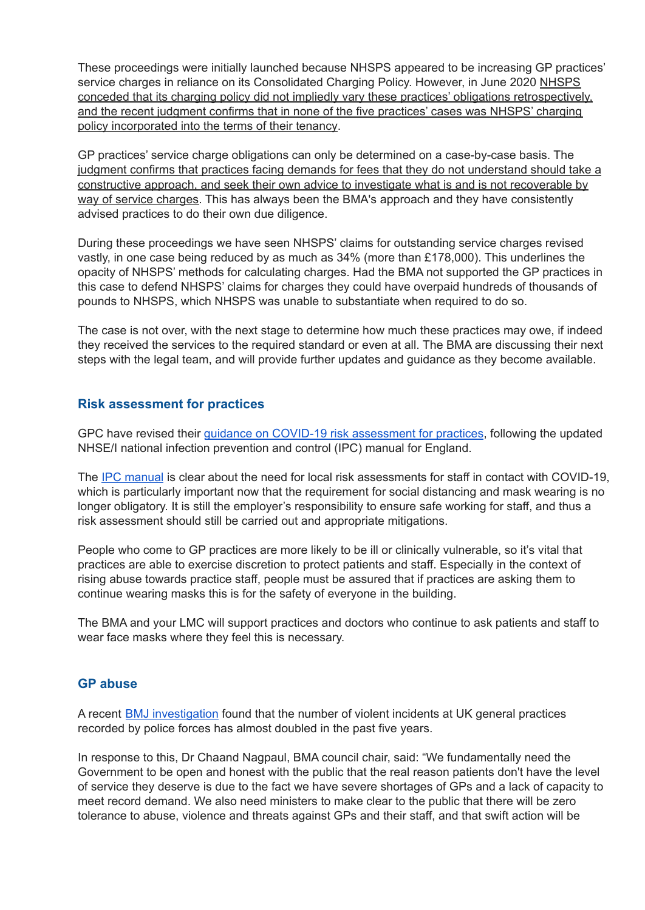These proceedings were initially launched because NHSPS appeared to be increasing GP practices' service charges in reliance on its Consolidated Charging Policy. However, in June 2020 NHSPS conceded that its charging policy did not impliedly vary these practices' obligations retrospectively, and the recent judgment confirms that in none of the five practices' cases was NHSPS' charging policy incorporated into the terms of their tenancy.

GP practices' service charge obligations can only be determined on a case-by-case basis. The judgment confirms that practices facing demands for fees that they do not understand should take a constructive approach, and seek their own advice to investigate what is and is not recoverable by way of service charges. This has always been the BMA's approach and they have consistently advised practices to do their own due diligence.

During these proceedings we have seen NHSPS' claims for outstanding service charges revised vastly, in one case being reduced by as much as 34% (more than £178,000). This underlines the opacity of NHSPS' methods for calculating charges. Had the BMA not supported the GP practices in this case to defend NHSPS' claims for charges they could have overpaid hundreds of thousands of pounds to NHSPS, which NHSPS was unable to substantiate when required to do so.

The case is not over, with the next stage to determine how much these practices may owe, if indeed they received the services to the required standard or even at all. The BMA are discussing their next steps with the legal team, and will provide further updates and guidance as they become available.

#### <span id="page-1-0"></span>**Risk assessment for practices**

GPC have revised their guidance on COVID-19 risk [assessment](https://www.bma.org.uk/advice-and-support/covid-19/gp-practices/covid-19-toolkit-for-gps-and-gp-practices/risk-assessment-for-gp-practices-in-england) for practices, following the updated NHSE/I national infection prevention and control (IPC) manual for England.

The **IPC** [manual](https://www.england.nhs.uk/publication/national-infection-prevention-and-control/) is clear about the need for local risk assessments for staff in contact with COVID-19, which is particularly important now that the requirement for social distancing and mask wearing is no longer obligatory. It is still the employer's responsibility to ensure safe working for staff, and thus a risk assessment should still be carried out and appropriate mitigations.

People who come to GP practices are more likely to be ill or clinically vulnerable, so it's vital that practices are able to exercise discretion to protect patients and staff. Especially in the context of rising abuse towards practice staff, people must be assured that if practices are asking them to continue wearing masks this is for the safety of everyone in the building.

The BMA and your LMC will support practices and doctors who continue to ask patients and staff to wear face masks where they feel this is necessary.

#### <span id="page-1-1"></span>**GP abuse**

A recent **BMJ** [investigation](https://www.bmj.com/content/377/bmj.o1333) found that the number of violent incidents at UK general practices recorded by police forces has almost doubled in the past five years.

In response to this, Dr Chaand Nagpaul, BMA council chair, said: "We fundamentally need the Government to be open and honest with the public that the real reason patients don't have the level of service they deserve is due to the fact we have severe shortages of GPs and a lack of capacity to meet record demand. We also need ministers to make clear to the public that there will be zero tolerance to abuse, violence and threats against GPs and their staff, and that swift action will be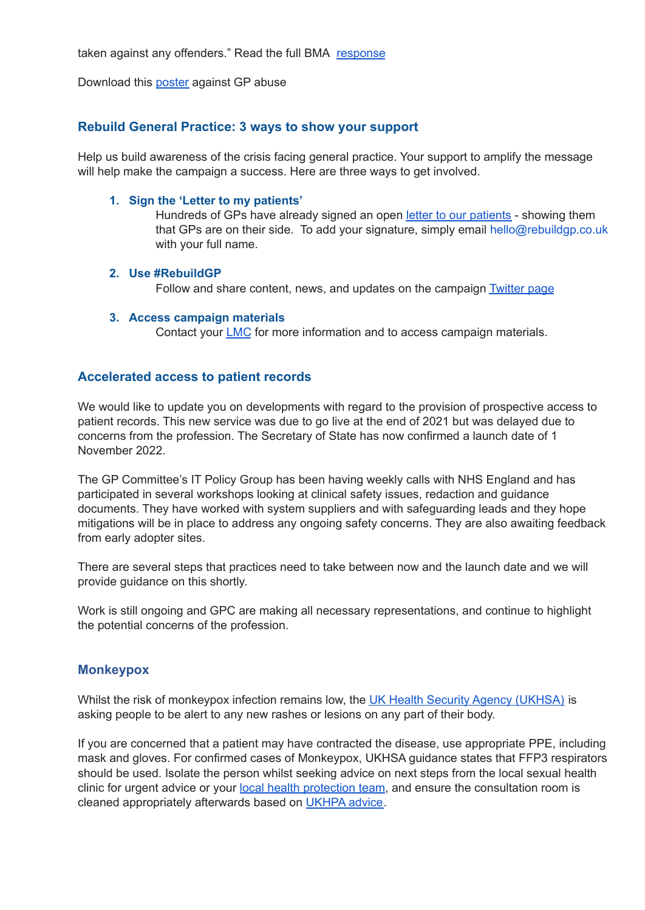taken against any offenders." Read the full BMA [response](https://www.bma.org.uk/bma-media-centre/gps-and-their-staff-should-not-bear-the-brunt-of-wider-nhs-pressures-says-bma)

Download this [poster](https://www.bma.org.uk/media/4667/bma-gp-abuse-poster-full-colour-oct21.pdf) against GP abuse

#### <span id="page-2-0"></span>**Rebuild General Practice: 3 ways to show your support**

Help us build awareness of the crisis facing general practice. Your support to amplify the message will help make the campaign a success. Here are three ways to get involved.

#### **1. Sign the 'Letter to my patients'**

Hundreds of GPs have already signed an open letter to our [patients](https://rebuildgp.co.uk/campaign-assets/letter-to-my-patients) - showing them that GPs are on their side. To add your signature, simply email hello@rebuildgp.co.uk with your full name.

#### **2. Use #RebuildGP**

Follow and share content, news, and updates on the campaign **[Twitter](https://bma-mail.org.uk/JVX-7T392-G7LO7P-4RBR15-1/c.aspx) page** 

#### **3. Access campaign materials**

Contact your **[LMC](https://bma-mail.org.uk/JVX-7T392-G7LO7P-4RBR16-1/c.aspx)** for more information and to access campaign materials.

#### <span id="page-2-1"></span>**Accelerated access to patient records**

We would like to update you on developments with regard to the provision of prospective access to patient records. This new service was due to go live at the end of 2021 but was delayed due to concerns from the profession. The Secretary of State has now confirmed a launch date of 1 November 2022.

The GP Committee's IT Policy Group has been having weekly calls with NHS England and has participated in several workshops looking at clinical safety issues, redaction and guidance documents. They have worked with system suppliers and with safeguarding leads and they hope mitigations will be in place to address any ongoing safety concerns. They are also awaiting feedback from early adopter sites.

There are several steps that practices need to take between now and the launch date and we will provide guidance on this shortly.

Work is still ongoing and GPC are making all necessary representations, and continue to highlight the potential concerns of the profession.

#### <span id="page-2-2"></span>**Monkeypox**

Whilst the risk of monkeypox infection remains low, the UK Health Security Agency [\(UKHSA\)](https://www.gov.uk/government/news/monkeypox-cases-confirmed-in-england-latest-updates) is asking people to be alert to any new rashes or lesions on any part of their body.

If you are concerned that a patient may have contracted the disease, use appropriate PPE, including mask and gloves. For confirmed cases of Monkeypox, UKHSA guidance states that FFP3 respirators should be used. Isolate the person whilst seeking advice on next steps from the local sexual health clinic for urgent advice or your local health [protection](https://www.gov.uk/health-protection-team) team, and ensure the consultation room is cleaned appropriately afterwards based on [UKHPA](https://assets.publishing.service.gov.uk/government/uploads/system/uploads/attachment_data/file/746086/Monkeypox_Guidance__cleaning_decontamination.pdf) advice.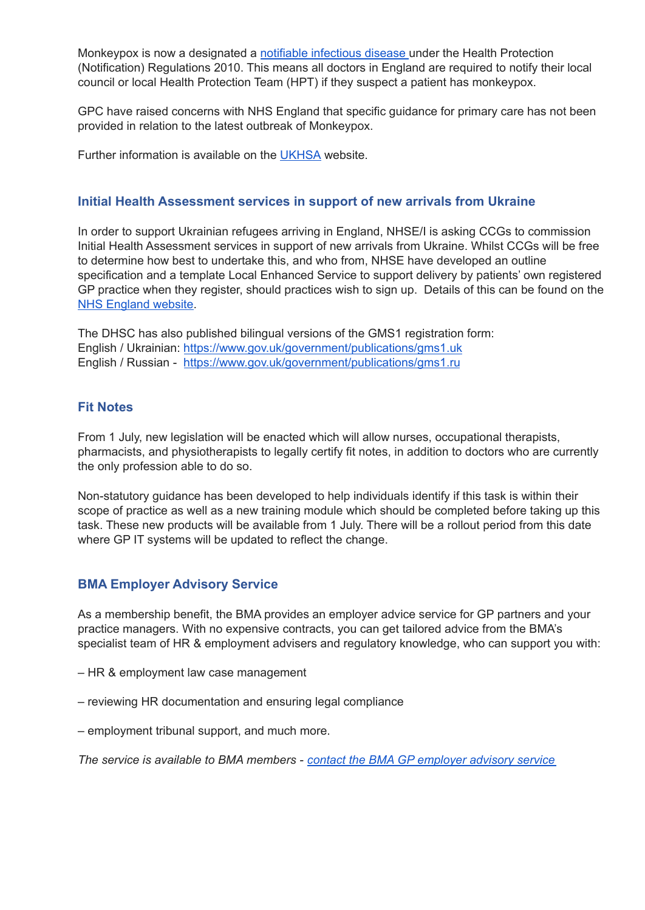Monkeypox is now a designated a notifiable [infectious](https://www.gov.uk/guidance/notifiable-diseases-and-causative-organisms-how-to-report) disease under the Health Protection (Notification) Regulations 2010. This means all doctors in England are required to notify their local council or local Health Protection Team (HPT) if they suspect a patient has monkeypox.

GPC have raised concerns with NHS England that specific guidance for primary care has not been provided in relation to the latest outbreak of Monkeypox.

Further information is available on the [UKHSA](https://www.gov.uk/government/collections/monkeypox-guidance) website.

#### <span id="page-3-0"></span>**Initial Health Assessment services in support of new arrivals from Ukraine**

In order to support Ukrainian refugees arriving in England, NHSE/I is asking CCGs to commission Initial Health Assessment services in support of new arrivals from Ukraine. Whilst CCGs will be free to determine how best to undertake this, and who from, NHSE have developed an outline specification and a template Local Enhanced Service to support delivery by patients' own registered GP practice when they register, should practices wish to sign up. Details of this can be found on the NHS [England](https://www.england.nhs.uk/wp-content/uploads/2022/06/B1604-meeting-the-initial-health-needs-of-people-arriving-in-the-uk-from-ukraine-140622.pdf) website.

The DHSC has also published bilingual versions of the GMS1 registration form: English / Ukrainian: <https://www.gov.uk/government/publications/gms1.uk> English / Russian - <https://www.gov.uk/government/publications/gms1.ru>

#### <span id="page-3-1"></span>**Fit Notes**

From 1 July, new legislation will be enacted which will allow nurses, occupational therapists, pharmacists, and physiotherapists to legally certify fit notes, in addition to doctors who are currently the only profession able to do so.

Non-statutory guidance has been developed to help individuals identify if this task is within their scope of practice as well as a new training module which should be completed before taking up this task. These new products will be available from 1 July. There will be a rollout period from this date where GP IT systems will be updated to reflect the change.

#### <span id="page-3-2"></span>**BMA Employer Advisory Service**

As a membership benefit, the BMA provides an employer advice service for GP partners and your practice managers. With no expensive contracts, you can get tailored advice from the BMA's specialist team of HR & employment advisers and regulatory knowledge, who can support you with:

- HR & employment law case management
- reviewing HR documentation and ensuring legal compliance
- employment tribunal support, and much more.

*The service is available to BMA members - contact the BMA GP [employer](https://www.bma.org.uk/advice-and-support/gp-practices/bma-support-services-for-gp-practices/gp-employer-advisory-service?utm_source=GP+LMC+update&utm_medium=Email&utm_campaign=EAS+June+2022) advisory service*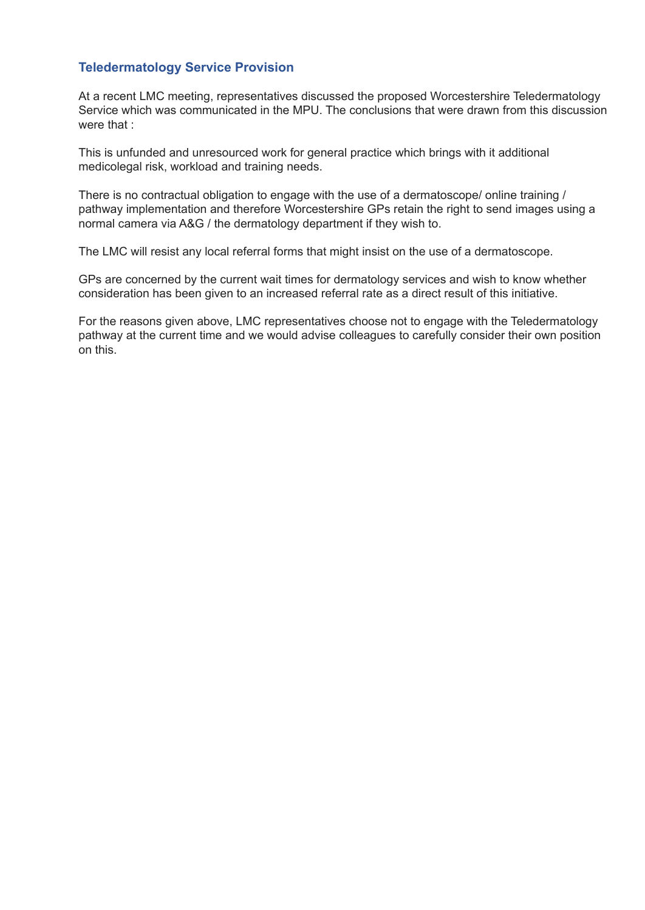#### <span id="page-4-0"></span>**Teledermatology Service Provision**

At a recent LMC meeting, representatives discussed the proposed Worcestershire Teledermatology Service which was communicated in the MPU. The conclusions that were drawn from this discussion were that :

This is unfunded and unresourced work for general practice which brings with it additional medicolegal risk, workload and training needs.

There is no contractual obligation to engage with the use of a dermatoscope/ online training / pathway implementation and therefore Worcestershire GPs retain the right to send images using a normal camera via A&G / the dermatology department if they wish to.

The LMC will resist any local referral forms that might insist on the use of a dermatoscope.

GPs are concerned by the current wait times for dermatology services and wish to know whether consideration has been given to an increased referral rate as a direct result of this initiative.

For the reasons given above, LMC representatives choose not to engage with the Teledermatology pathway at the current time and we would advise colleagues to carefully consider their own position on this.